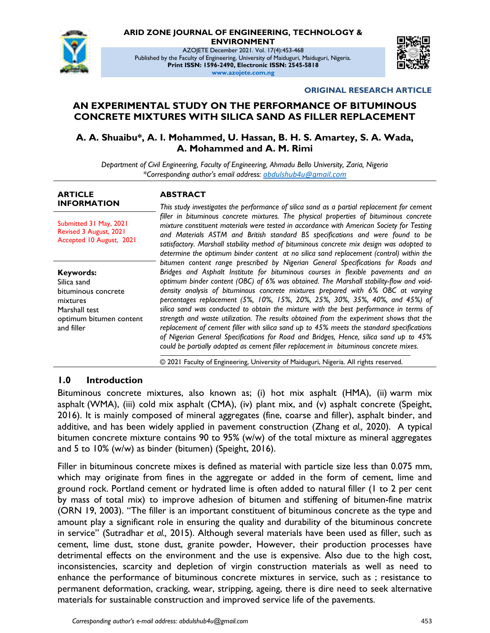

#### **ARID ZONE JOURNAL OF ENGINEERING, TECHNOLOGY & ENVIRONMENT**

AZOJETE December 2021. Vol. 17(4):453-468 Published by the Faculty of Engineering, University of Maiduguri, Maiduguri, Nigeria. **Print ISSN: 1596-2490, Electronic ISSN: 2545-5818 www.azojete.com.ng**



#### **ORIGINAL RESEARCH ARTICLE**

## **AN EXPERIMENTAL STUDY ON THE PERFORMANCE OF BITUMINOUS CONCRETE MIXTURES WITH SILICA SAND AS FILLER REPLACEMENT**

### **A. A. Shuaibu\*, A. I. Mohammed, U. Hassan, B. H. S. Amartey, S. A. Wada, A. Mohammed and A. M. Rimi**

*Department of Civil Engineering, Faculty of Engineering, Ahmadu Bello University, Zaria, Nigeria \*Corresponding author's email address: abdulshub4u@gmail.com*

#### **ARTICLE INFORMATION**

Submitted 31 May, 2021 Revised 3 August, 2021 Accepted 10 August, 2021

**Keywords:** Silica sand bituminous concrete mixtures Marshall test optimum bitumen content and filler

#### **ABSTRACT**

*This study investigates the performance of silica sand as a partial replacement for cement filler in bituminous concrete mixtures. The physical properties of bituminous concrete mixture constituent materials were tested in accordance with American Society for Testing and Materials ASTM and British standard BS specifications and were found to be satisfactory. Marshall stability method of bituminous concrete mix design was adopted to determine the optimum binder content at no silica sand replacement (control) within the bitumen content range prescribed by Nigerian General Specifications for Roads and Bridges and Asphalt Institute for bituminous courses in flexible pavements and an optimum binder content (OBC) of 6% was obtained. The Marshall stability-flow and voiddensity analysis of bituminous concrete mixtures prepared with 6% OBC at varying percentages replacement (5%, 10%, 15%, 20%, 25%, 30%, 35%, 40%, and 45%) of silica sand was conducted to obtain the mixture with the best performance in terms of strength and waste utilization. The results obtained from the experiment shows that the replacement of cement filler with silica sand up to 45% meets the standard specifications of Nigerian General Specifications for Road and Bridges, Hence, silica sand up to 45% could be partially adapted as cement filler replacement in bituminous concrete mixes.*

© 2021 Faculty of Engineering, University of Maiduguri, Nigeria. All rights reserved.

#### **1.0 Introduction**

Bituminous concrete mixtures, also known as; (i) hot mix asphalt (HMA), (ii) warm mix asphalt (WMA), (iii) cold mix asphalt (CMA), (iv) plant mix, and (v) asphalt concrete (Speight, 2016). It is mainly composed of mineral aggregates (fine, coarse and filler), asphalt binder, and additive, and has been widely applied in pavement construction (Zhang *et al.,* 2020). A typical bitumen concrete mixture contains 90 to 95% (w/w) of the total mixture as mineral aggregates and 5 to 10% (w/w) as binder (bitumen) (Speight, 2016).

Filler in bituminous concrete mixes is defined as material with particle size less than 0.075 mm, which may originate from fines in the aggregate or added in the form of cement, lime and ground rock. Portland cement or hydrated lime is often added to natural filler (1 to 2 per cent by mass of total mix) to improve adhesion of bitumen and stiffening of bitumen-fine matrix (ORN 19, 2003). ''The filler is an important constituent of bituminous concrete as the type and amount play a significant role in ensuring the quality and durability of the bituminous concrete in service'' (Sutradhar *et al.,* 2015). Although several materials have been used as filler, such as cement, lime dust, stone dust, granite powder, However, their production processes have detrimental effects on the environment and the use is expensive. Also due to the high cost, inconsistencies, scarcity and depletion of virgin construction materials as well as need to enhance the performance of bituminous concrete mixtures in service, such as ; resistance to permanent deformation, cracking, wear, stripping, ageing, there is dire need to seek alternative materials for sustainable construction and improved service life of the pavements.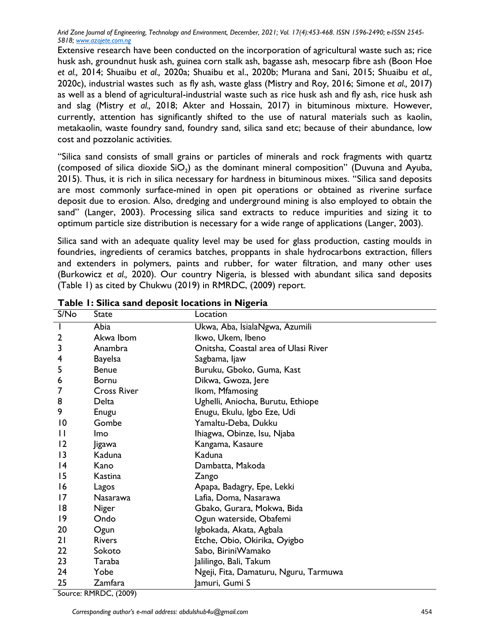Extensive research have been conducted on the incorporation of agricultural waste such as; rice husk ash, groundnut husk ash, guinea corn stalk ash, bagasse ash, mesocarp fibre ash (Boon Hoe *et al.,* 2014; Shuaibu *et al.,* 2020a; Shuaibu et al., 2020b; Murana and Sani, 2015; Shuaibu *et al.,* 2020c), industrial wastes such as fly ash, waste glass (Mistry and Roy, 2016; Simone *et al.,* 2017) as well as a blend of agricultural-industrial waste such as rice husk ash and fly ash, rice husk ash and slag (Mistry *et al.,* 2018; Akter and Hossain, 2017) in bituminous mixture. However, currently, attention has significantly shifted to the use of natural materials such as kaolin, metakaolin, waste foundry sand, foundry sand, silica sand etc; because of their abundance, low cost and pozzolanic activities.

''Silica sand consists of small grains or particles of minerals and rock fragments with quartz (composed of silica dioxide SiO<sub>2</sub>) as the dominant mineral composition'' (Duvuna and Ayuba, 2015). Thus, it is rich in silica necessary for hardness in bituminous mixes. ''Silica sand deposits are most commonly surface-mined in open pit operations or obtained as riverine surface deposit due to erosion. Also, dredging and underground mining is also employed to obtain the sand'' (Langer, 2003). Processing silica sand extracts to reduce impurities and sizing it to optimum particle size distribution is necessary for a wide range of applications (Langer, 2003).

Silica sand with an adequate quality level may be used for glass production, casting moulds in foundries, ingredients of ceramics batches, proppants in shale hydrocarbons extraction, fillers and extenders in polymers, paints and rubber, for water filtration, and many other uses (Burkowicz *et al.,* 2020). Our country Nigeria, is blessed with abundant silica sand deposits (Table 1) as cited by Chukwu (2019) in RMRDC, (2009) report.

| S/No           | State              | Location                              |
|----------------|--------------------|---------------------------------------|
| I              | Abia               | Ukwa, Aba, IsialaNgwa, Azumili        |
| $\overline{2}$ | Akwa Ibom          | Ikwo, Ukem, Ibeno                     |
| 3              | Anambra            | Onitsha, Coastal area of Ulasi River  |
| 4              | <b>Bayelsa</b>     | Sagbama, Ijaw                         |
| 5              | <b>Benue</b>       | Buruku, Gboko, Guma, Kast             |
| 6              | <b>Bornu</b>       | Dikwa, Gwoza, Jere                    |
|                | <b>Cross River</b> | Ikom, Mfamosing                       |
| 8              | Delta              | Ughelli, Aniocha, Burutu, Ethiope     |
| 9              | Enugu              | Enugu, Ekulu, Igbo Eze, Udi           |
| 10             | Gombe              | Yamaltu-Deba, Dukku                   |
| П              | <b>Imo</b>         | Ihiagwa, Obinze, Isu, Njaba           |
| 2              | <b>Jigawa</b>      | Kangama, Kasaure                      |
| 3              | Kaduna             | Kaduna                                |
| 4              | Kano               | Dambatta, Makoda                      |
| 15             | Kastina            | Zango                                 |
| 16             | Lagos              | Apapa, Badagry, Epe, Lekki            |
| 17             | Nasarawa           | Lafia, Doma, Nasarawa                 |
| 18             | <b>Niger</b>       | Gbako, Gurara, Mokwa, Bida            |
| 9              | Ondo               | Ogun waterside, Obafemi               |
| 20             | Ogun               | Igbokada, Akata, Agbala               |
| 21             | <b>Rivers</b>      | Etche, Obio, Okirika, Oyigbo          |
| 22             | Sokoto             | Sabo, BiriniWamako                    |
| 23             | Taraba             | Jalilingo, Bali, Takum                |
| 24             | Yobe               | Ngeji, Fita, Damaturu, Nguru, Tarmuwa |
| 25             | Zamfara            | Jamuri, Gumi S                        |

#### **Table 1: Silica sand deposit locations in Nigeria**

Source: RMRDC, (2009)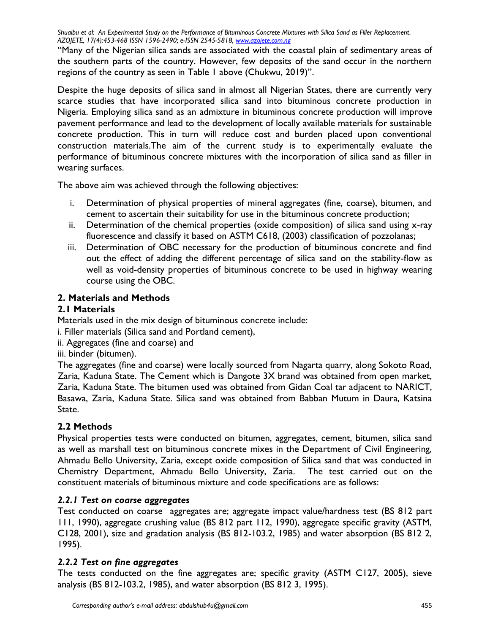''Many of the Nigerian silica sands are associated with the coastal plain of sedimentary areas of the southern parts of the country. However, few deposits of the sand occur in the northern regions of the country as seen in Table 1 above (Chukwu, 2019)''.

Despite the huge deposits of silica sand in almost all Nigerian States, there are currently very scarce studies that have incorporated silica sand into bituminous concrete production in Nigeria. Employing silica sand as an admixture in bituminous concrete production will improve pavement performance and lead to the development of locally available materials for sustainable concrete production. This in turn will reduce cost and burden placed upon conventional construction materials.The aim of the current study is to experimentally evaluate the performance of bituminous concrete mixtures with the incorporation of silica sand as filler in wearing surfaces.

The above aim was achieved through the following objectives:

- i. Determination of physical properties of mineral aggregates (fine, coarse), bitumen, and cement to ascertain their suitability for use in the bituminous concrete production;
- ii. Determination of the chemical properties (oxide composition) of silica sand using x-ray fluorescence and classify it based on ASTM C618, (2003) classification of pozzolanas;
- iii. Determination of OBC necessary for the production of bituminous concrete and find out the effect of adding the different percentage of silica sand on the stability-flow as well as void-density properties of bituminous concrete to be used in highway wearing course using the OBC.

# **2. Materials and Methods**

## **2.1 Materials**

Materials used in the mix design of bituminous concrete include:

i. Filler materials (Silica sand and Portland cement),

ii. Aggregates (fine and coarse) and

iii. binder (bitumen).

The aggregates (fine and coarse) were locally sourced from Nagarta quarry, along Sokoto Road, Zaria, Kaduna State. The Cement which is Dangote 3X brand was obtained from open market, Zaria, Kaduna State. The bitumen used was obtained from Gidan Coal tar adjacent to NARICT, Basawa, Zaria, Kaduna State. Silica sand was obtained from Babban Mutum in Daura, Katsina State.

# **2.2 Methods**

Physical properties tests were conducted on bitumen, aggregates, cement, bitumen, silica sand as well as marshall test on bituminous concrete mixes in the Department of Civil Engineering, Ahmadu Bello University, Zaria, except oxide composition of Silica sand that was conducted in Chemistry Department, Ahmadu Bello University, Zaria. The test carried out on the constituent materials of bituminous mixture and code specifications are as follows:

# *2.2.1 Test on coarse aggregates*

Test conducted on coarse aggregates are; aggregate impact value/hardness test (BS 812 part 111, 1990), aggregate crushing value (BS 812 part 112, 1990), aggregate specific gravity (ASTM, C128, 2001), size and gradation analysis (BS 812-103.2, 1985) and water absorption (BS 812 2, 1995).

# *2.2.2 Test on fine aggregates*

The tests conducted on the fine aggregates are; specific gravity (ASTM C127, 2005), sieve analysis (BS 812-103.2, 1985), and water absorption (BS 812 3, 1995).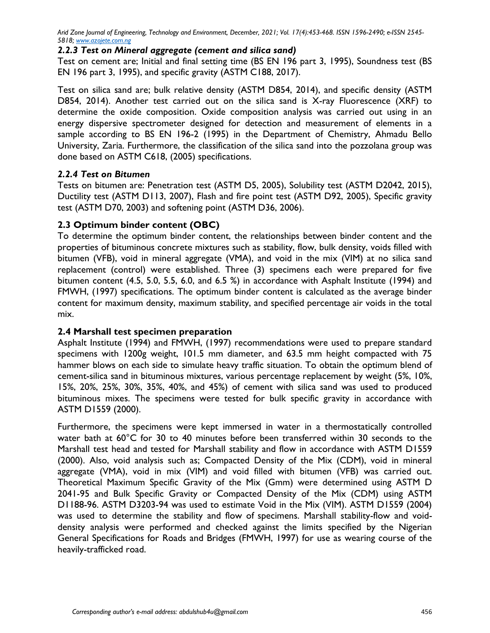#### *2.2.3 Test on Mineral aggregate (cement and silica sand)*

Test on cement are; Initial and final setting time (BS EN 196 part 3, 1995), Soundness test (BS EN 196 part 3, 1995), and specific gravity (ASTM C188, 2017).

Test on silica sand are; bulk relative density (ASTM D854, 2014), and specific density (ASTM D854, 2014). Another test carried out on the silica sand is X-ray Fluorescence (XRF) to determine the oxide composition. Oxide composition analysis was carried out using in an energy dispersive spectrometer designed for detection and measurement of elements in a sample according to BS EN 196-2 (1995) in the Department of Chemistry, Ahmadu Bello University, Zaria. Furthermore, the classification of the silica sand into the pozzolana group was done based on ASTM C618, (2005) specifications.

## *2.2.4 Test on Bitumen*

Tests on bitumen are: Penetration test (ASTM D5, 2005), Solubility test (ASTM D2042, 2015), Ductility test (ASTM D113, 2007), Flash and fire point test (ASTM D92, 2005), Specific gravity test (ASTM D70, 2003) and softening point (ASTM D36, 2006).

## **2.3 Optimum binder content (OBC)**

To determine the optimum binder content, the relationships between binder content and the properties of bituminous concrete mixtures such as stability, flow, bulk density, voids filled with bitumen (VFB), void in mineral aggregate (VMA), and void in the mix (VIM) at no silica sand replacement (control) were established. Three (3) specimens each were prepared for five bitumen content (4.5, 5.0, 5.5, 6.0, and 6.5 %) in accordance with Asphalt Institute (1994) and FMWH, (1997) specifications. The optimum binder content is calculated as the average binder content for maximum density, maximum stability, and specified percentage air voids in the total mix.

#### **2.4 Marshall test specimen preparation**

Asphalt Institute (1994) and FMWH, (1997) recommendations were used to prepare standard specimens with 1200g weight, 101.5 mm diameter, and 63.5 mm height compacted with 75 hammer blows on each side to simulate heavy traffic situation. To obtain the optimum blend of cement-silica sand in bituminous mixtures, various percentage replacement by weight (5%, 10%, 15%, 20%, 25%, 30%, 35%, 40%, and 45%) of cement with silica sand was used to produced bituminous mixes. The specimens were tested for bulk specific gravity in accordance with ASTM D1559 (2000).

Furthermore, the specimens were kept immersed in water in a thermostatically controlled water bath at 60°C for 30 to 40 minutes before been transferred within 30 seconds to the Marshall test head and tested for Marshall stability and flow in accordance with ASTM D1559 (2000). Also, void analysis such as; Compacted Density of the Mix (CDM), void in mineral aggregate (VMA), void in mix (VIM) and void filled with bitumen (VFB) was carried out. Theoretical Maximum Specific Gravity of the Mix (Gmm) were determined using ASTM D 2041-95 and Bulk Specific Gravity or Compacted Density of the Mix (CDM) using ASTM D1188-96. ASTM D3203-94 was used to estimate Void in the Mix (VIM). ASTM D1559 (2004) was used to determine the stability and flow of specimens. Marshall stability-flow and voiddensity analysis were performed and checked against the limits specified by the Nigerian General Specifications for Roads and Bridges (FMWH, 1997) for use as wearing course of the heavily-trafficked road.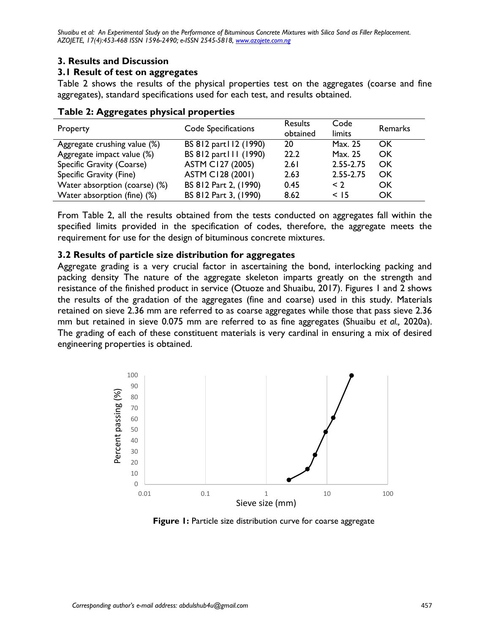# **3. Results and Discussion**

## **3.1 Result of test on aggregates**

Table 2 shows the results of the physical properties test on the aggregates (coarse and fine aggregates), standard specifications used for each test, and results obtained.

| Property                      | Code Specifications     | Results<br>obtained | Code<br>limits | Remarks |
|-------------------------------|-------------------------|---------------------|----------------|---------|
| Aggregate crushing value (%)  | BS 812 part 12 (1990)   | 20                  | Max. 25        | OK      |
| Aggregate impact value (%)    | BS 812 part III (1990)  | 22.2                | Max. 25        | OK      |
| Specific Gravity (Coarse)     | <b>ASTM C127 (2005)</b> | 2.61                | 2.55-2.75      | OK      |
| Specific Gravity (Fine)       | <b>ASTM C128 (2001)</b> | 2.63                | 2.55-2.75      | OK      |
| Water absorption (coarse) (%) | BS 812 Part 2, (1990)   | 0.45                | $\leq$ 2       | OK      |
| Water absorption (fine) (%)   | BS 812 Part 3, (1990)   | 8.62                | $<$ 15         | OK      |

|  | Table 2: Aggregates physical properties |  |  |
|--|-----------------------------------------|--|--|
|--|-----------------------------------------|--|--|

From Table 2, all the results obtained from the tests conducted on aggregates fall within the specified limits provided in the specification of codes, therefore, the aggregate meets the requirement for use for the design of bituminous concrete mixtures.

## **3.2 Results of particle size distribution for aggregates**

Aggregate grading is a very crucial factor in ascertaining the bond, interlocking packing and packing density The nature of the aggregate skeleton imparts greatly on the strength and resistance of the finished product in service (Otuoze and Shuaibu, 2017). Figures 1 and 2 shows the results of the gradation of the aggregates (fine and coarse) used in this study. Materials retained on sieve 2.36 mm are referred to as coarse aggregates while those that pass sieve 2.36 mm but retained in sieve 0.075 mm are referred to as fine aggregates (Shuaibu *et al.,* 2020a). The grading of each of these constituent materials is very cardinal in ensuring a mix of desired engineering properties is obtained.



**Figure 1:** Particle size distribution curve for coarse aggregate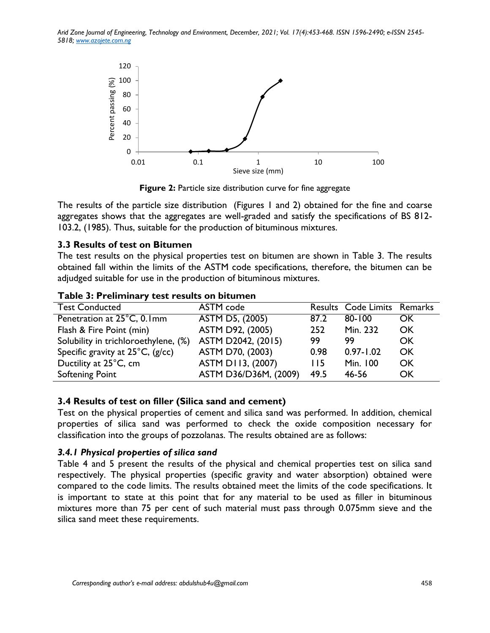

**Figure 2:** Particle size distribution curve for fine aggregate

The results of the particle size distribution (Figures 1 and 2) obtained for the fine and coarse aggregates shows that the aggregates are well-graded and satisfy the specifications of BS 812- 103.2, (1985). Thus, suitable for the production of bituminous mixtures.

#### **3.3 Results of test on Bitumen**

The test results on the physical properties test on bitumen are shown in Table 3. The results obtained fall within the limits of the ASTM code specifications, therefore, the bitumen can be adjudged suitable for use in the production of bituminous mixtures.

| <b>Test Conducted</b>                      | ASTM code             |      | Results Code Limits Remarks |           |
|--------------------------------------------|-----------------------|------|-----------------------------|-----------|
| Penetration at 25°C, 0.1mm                 | ASTM D5, (2005)       | 87.2 | $80 - 100$                  | OK.       |
| Flash & Fire Point (min)                   | ASTM D92, (2005)      | 252  | Min. 232                    | OK        |
| Solubility in trichloroethylene, (%)       | ASTM D2042, (2015)    | 99   | 99                          | OK        |
| Specific gravity at $25^{\circ}$ C, (g/cc) | ASTM D70, (2003)      | 0.98 | $0.97 - 1.02$               | OK        |
| Ductility at 25°C, cm                      | ASTM D113, (2007)     | 115  | Min. 100                    | OK        |
| <b>Softening Point</b>                     | ASTM D36/D36M, (2009) | 49.5 | 46-56                       | <b>OK</b> |

#### **Table 3: Preliminary test results on bitumen**

#### **3.4 Results of test on filler (Silica sand and cement)**

Test on the physical properties of cement and silica sand was performed. In addition, chemical properties of silica sand was performed to check the oxide composition necessary for classification into the groups of pozzolanas. The results obtained are as follows:

#### *3.4.1 Physical properties of silica sand*

Table 4 and 5 present the results of the physical and chemical properties test on silica sand respectively. The physical properties (specific gravity and water absorption) obtained were compared to the code limits. The results obtained meet the limits of the code specifications. It is important to state at this point that for any material to be used as filler in bituminous mixtures more than 75 per cent of such material must pass through 0.075mm sieve and the silica sand meet these requirements.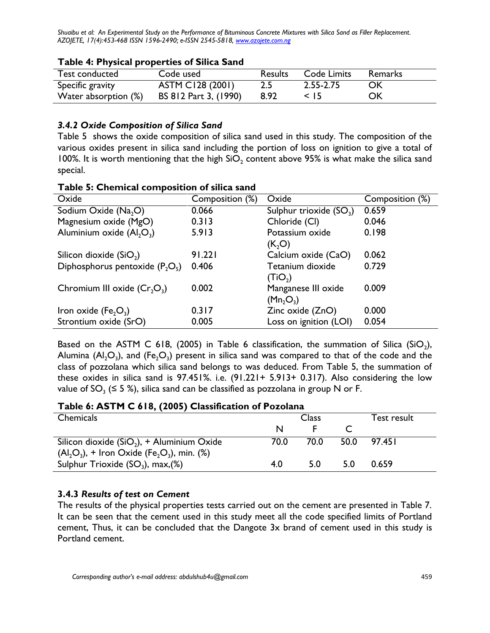| <b>Test conducted</b> | Code used               | <b>Results</b> | Code Limits | <b>Remarks</b> |  |  |
|-----------------------|-------------------------|----------------|-------------|----------------|--|--|
| Specific gravity      | <b>ASTM C128 (2001)</b> | 2.5            | 2.55-2.75   | OK             |  |  |
| Water absorption (%)  | BS 812 Part 3, (1990)   | 8.92           | $<$ 15      | OK             |  |  |

#### **Table 4: Physical properties of Silica Sand**

## *3.4.2 Oxide Composition of Silica Sand*

Table 5 shows the oxide composition of silica sand used in this study. The composition of the various oxides present in silica sand including the portion of loss on ignition to give a total of 100%. It is worth mentioning that the high  $SiO<sub>2</sub>$  content above 95% is what make the silica sand special.

| Oxide                             | Composition (%) | Oxide                     | Composition (%) |
|-----------------------------------|-----------------|---------------------------|-----------------|
| Sodium Oxide (Na <sub>2</sub> O)  | 0.066           | Sulphur trioxide $(SO_3)$ | 0.659           |
| Magnesium oxide (MgO)             | 0.313           | Chloride (CI)             | 0.046           |
| Aluminium oxide $(Al, O_3)$       | 5.913           | Potassium oxide           | 0.198           |
|                                   |                 | (K, O)                    |                 |
| Silicon dioxide $(SiO2)$          | 91.221          | Calcium oxide (CaO)       | 0.062           |
| Diphosphorus pentoxide $(P_2O_5)$ | 0.406           | Tetanium dioxide          | 0.729           |
|                                   |                 | (TiO <sub>2</sub> )       |                 |
| Chromium III oxide $(Cr_2O_3)$    | 0.002           | Manganese III oxide       | 0.009           |
|                                   |                 | (Mn, O <sub>3</sub> )     |                 |
| Iron oxide ( $Fe2O3$ )            | 0.317           | Zinc oxide (ZnO)          | 0.000           |
| Strontium oxide (SrO)             | 0.005           | Loss on ignition (LOI)    | 0.054           |

#### **Table 5: Chemical composition of silica sand**

Based on the ASTM C 618, (2005) in Table 6 classification, the summation of Silica (SiO<sub>2</sub>), Alumina (Al<sub>2</sub>O<sub>3</sub>), and (Fe<sub>2</sub>O<sub>3</sub>) present in silica sand was compared to that of the code and the class of pozzolana which silica sand belongs to was deduced. From Table 5, the summation of these oxides in silica sand is 97.451%. i.e. (91.221+ 5.913+ 0.317). Also considering the low value of SO<sub>3</sub> (≤ 5 %), silica sand can be classified as pozzolana in group N or F.

#### **Table 6: ASTM C 618, (2005) Classification of Pozolana**

| <b>Class</b> |      |             | Test result |
|--------------|------|-------------|-------------|
|              |      |             |             |
|              |      |             |             |
|              |      |             |             |
|              |      | 5.0         | 0.659       |
|              | 70.0 | 70.0<br>5.0 | 50.0 97.451 |

## **3.4.3** *Results of test on Cement*

The results of the physical properties tests carried out on the cement are presented in Table 7. It can be seen that the cement used in this study meet all the code specified limits of Portland cement, Thus, it can be concluded that the Dangote 3x brand of cement used in this study is Portland cement.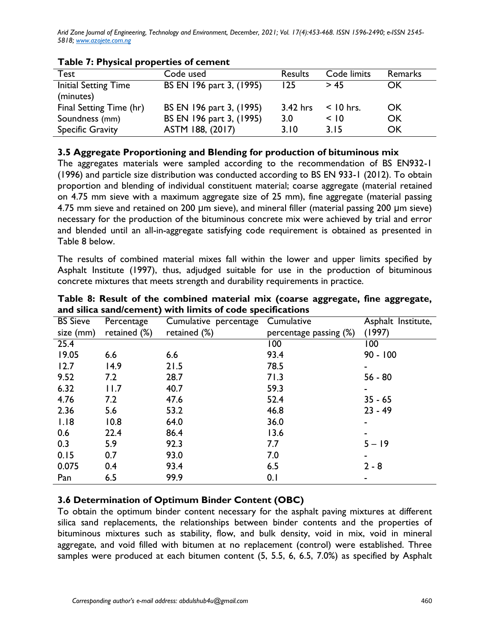| Test                                     | Code used                | <b>Results</b> | Code limits | Remarks |
|------------------------------------------|--------------------------|----------------|-------------|---------|
| <b>Initial Setting Time</b><br>(minutes) | BS EN 196 part 3, (1995) | 125            | > 45        | OK      |
| Final Setting Time (hr)                  | BS EN 196 part 3, (1995) | $3.42$ hrs     | $<$ 10 hrs. | OK      |
| Soundness (mm)                           | BS EN 196 part 3, (1995) | 3.0            | < 10        | OK      |
| <b>Specific Gravity</b>                  | ASTM 188, (2017)         | 3.10           | 3.15        | OK      |

### **Table 7: Physical properties of cement**

#### **3.5 Aggregate Proportioning and Blending for production of bituminous mix**

The aggregates materials were sampled according to the recommendation of BS EN932-1 (1996) and particle size distribution was conducted according to BS EN 933-1 (2012). To obtain proportion and blending of individual constituent material; coarse aggregate (material retained on 4.75 mm sieve with a maximum aggregate size of 25 mm), fine aggregate (material passing 4.75 mm sieve and retained on 200 μm sieve), and mineral filler (material passing 200 μm sieve) necessary for the production of the bituminous concrete mix were achieved by trial and error and blended until an all-in-aggregate satisfying code requirement is obtained as presented in Table 8 below.

The results of combined material mixes fall within the lower and upper limits specified by Asphalt Institute (1997), thus, adjudged suitable for use in the production of bituminous concrete mixtures that meets strength and durability requirements in practice.

| <b>BS Sieve</b> | Percentage   | Cumulative percentage | Cumulative                | Asphalt Institute, |
|-----------------|--------------|-----------------------|---------------------------|--------------------|
| size (mm)       | retained (%) | retained (%)          | percentage passing $(\%)$ | (1997)             |
| 25.4            |              |                       | 100                       | 100                |
| 19.05           | 6.6          | 6.6                   | 93.4                      | $90 - 100$         |
| 12.7            | 14.9         | 21.5                  | 78.5                      |                    |
| 9.52            | 7.2          | 28.7                  | 71.3                      | $56 - 80$          |
| 6.32            | 11.7         | 40.7                  | 59.3                      |                    |
| 4.76            | 7.2          | 47.6                  | 52.4                      | $35 - 65$          |
| 2.36            | 5.6          | 53.2                  | 46.8                      | $23 - 49$          |
| 1.18            | 10.8         | 64.0                  | 36.0                      |                    |
| 0.6             | 22.4         | 86.4                  | 13.6                      |                    |
| 0.3             | 5.9          | 92.3                  | 7.7                       | $5 - 19$           |
| 0.15            | 0.7          | 93.0                  | 7.0                       |                    |
| 0.075           | 0.4          | 93.4                  | 6.5                       | $2 - 8$            |
| Pan             | 6.5          | 99.9                  | 0.1                       |                    |

**Table 8: Result of the combined material mix (coarse aggregate, fine aggregate, and silica sand/cement) with limits of code specifications**

## **3.6 Determination of Optimum Binder Content (OBC)**

To obtain the optimum binder content necessary for the asphalt paving mixtures at different silica sand replacements, the relationships between binder contents and the properties of bituminous mixtures such as stability, flow, and bulk density, void in mix, void in mineral aggregate, and void filled with bitumen at no replacement (control) were established. Three samples were produced at each bitumen content (5, 5.5, 6, 6.5, 7.0%) as specified by Asphalt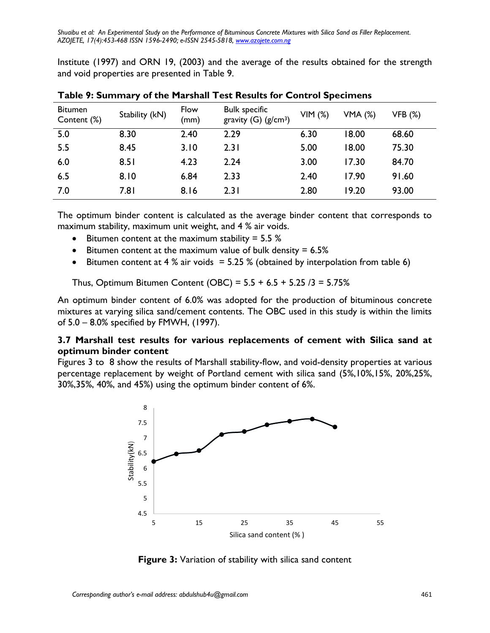Institute (1997) and ORN 19, (2003) and the average of the results obtained for the strength and void properties are presented in Table 9.

| <b>Bitumen</b><br>Content (%) | Stability (kN) | Flow<br>(mm) | <b>Bulk specific</b><br>gravity $(G)$ (g/cm <sup>3</sup> ) | VIM(%) | <b>VMA (%)</b> | <b>VFB (%)</b> |
|-------------------------------|----------------|--------------|------------------------------------------------------------|--------|----------------|----------------|
| 5.0                           | 8.30           | 2.40         | 2.29                                                       | 6.30   | 18.00          | 68.60          |
| 5.5                           | 8.45           | 3.10         | 2.31                                                       | 5.00   | 18.00          | 75.30          |
| 6.0                           | 8.51           | 4.23         | 2.24                                                       | 3.00   | 17.30          | 84.70          |
| 6.5                           | 8.10           | 6.84         | 2.33                                                       | 2.40   | 17.90          | 91.60          |
| 7.0                           | 7.81           | 8.16         | 2.31                                                       | 2.80   | 19.20          | 93.00          |

**Table 9: Summary of the Marshall Test Results for Control Specimens**

The optimum binder content is calculated as the average binder content that corresponds to maximum stability, maximum unit weight, and 4 % air voids.

- **•** Bitumen content at the maximum stability =  $5.5\%$
- **•** Bitumen content at the maximum value of bulk density  $= 6.5\%$
- Eitumen content at 4 % air voids =  $5.25$  % (obtained by interpolation from table 6)

Thus, Optimum Bitumen Content (OBC) = 5.5 + 6.5 + 5.25 /3 = 5.75%

An optimum binder content of 6.0% was adopted for the production of bituminous concrete mixtures at varying silica sand/cement contents. The OBC used in this study is within the limits of 5.0 – 8.0% specified by FMWH, (1997).

## **3.7 Marshall test results for various replacements of cement with Silica sand at optimum binder content**

Figures 3 to 8 show the results of Marshall stability-flow, and void-density properties at various percentage replacement by weight of Portland cement with silica sand (5%,10%,15%, 20%,25%, 30%,35%, 40%, and 45%) using the optimum binder content of 6%.



**Figure 3:** Variation of stability with silica sand content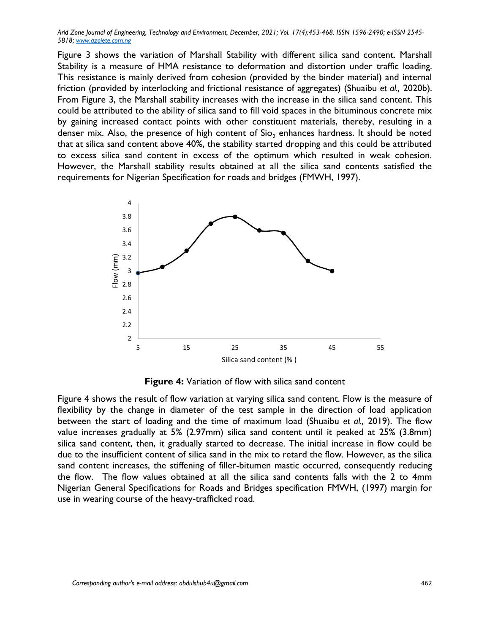Figure 3 shows the variation of Marshall Stability with different silica sand content. Marshall Stability is a measure of HMA resistance to deformation and distortion under traffic loading. This resistance is mainly derived from cohesion (provided by the binder material) and internal friction (provided by interlocking and frictional resistance of aggregates) (Shuaibu *et al.,* 2020b). From Figure 3, the Marshall stability increases with the increase in the silica sand content. This could be attributed to the ability of silica sand to fill void spaces in the bituminous concrete mix by gaining increased contact points with other constituent materials, thereby, resulting in a denser mix. Also, the presence of high content of  $Si<sub>o</sub>$  enhances hardness. It should be noted that at silica sand content above 40%, the stability started dropping and this could be attributed to excess silica sand content in excess of the optimum which resulted in weak cohesion. However, the Marshall stability results obtained at all the silica sand contents satisfied the requirements for Nigerian Specification for roads and bridges (FMWH, 1997).



**Figure 4:** Variation of flow with silica sand content

Figure 4 shows the result of flow variation at varying silica sand content. Flow is the measure of flexibility by the change in diameter of the test sample in the direction of load application between the start of loading and the time of maximum load (Shuaibu *et al.,* 2019). The flow value increases gradually at 5% (2.97mm) silica sand content until it peaked at 25% (3.8mm) silica sand content, then, it gradually started to decrease. The initial increase in flow could be due to the insufficient content of silica sand in the mix to retard the flow. However, as the silica sand content increases, the stiffening of filler-bitumen mastic occurred, consequently reducing the flow. The flow values obtained at all the silica sand contents falls with the 2 to 4mm Nigerian General Specifications for Roads and Bridges specification FMWH, (1997) margin for use in wearing course of the heavy-trafficked road.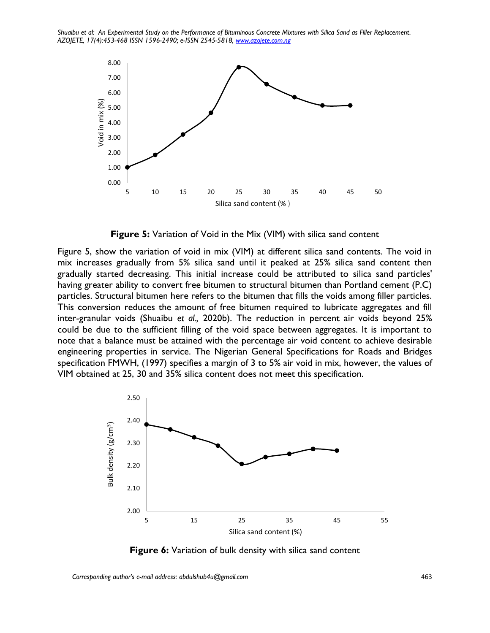

**Figure 5:** Variation of Void in the Mix (VIM) with silica sand content

Figure 5, show the variation of void in mix (VIM) at different silica sand contents. The void in mix increases gradually from 5% silica sand until it peaked at 25% silica sand content then gradually started decreasing. This initial increase could be attributed to silica sand particles' having greater ability to convert free bitumen to structural bitumen than Portland cement (P.C) particles. Structural bitumen here refers to the bitumen that fills the voids among filler particles. This conversion reduces the amount of free bitumen required to lubricate aggregates and fill inter-granular voids (Shuaibu *et al.,* 2020b). The reduction in percent air voids beyond 25% could be due to the sufficient filling of the void space between aggregates. It is important to note that a balance must be attained with the percentage air void content to achieve desirable engineering properties in service. The Nigerian General Specifications for Roads and Bridges specification FMWH, (1997) specifies a margin of 3 to 5% air void in mix, however, the values of VIM obtained at 25, 30 and 35% silica content does not meet this specification.



**Figure 6:** Variation of bulk density with silica sand content

*Corresponding author's e-mail address: abdulshub4u@gmail.com* 463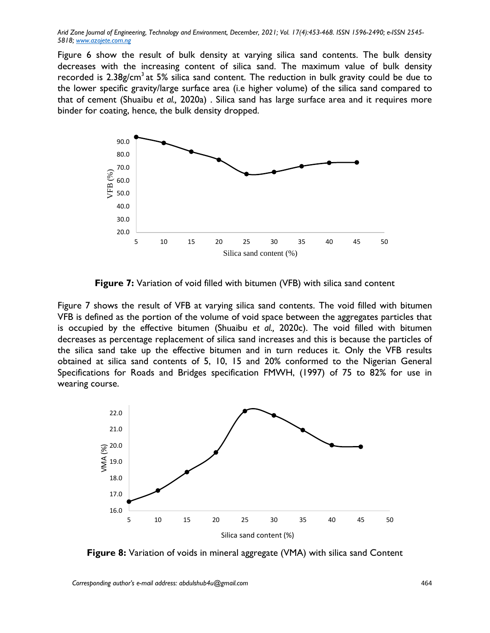Figure 6 show the result of bulk density at varying silica sand contents. The bulk density decreases with the increasing content of silica sand. The maximum value of bulk density recorded is  $2.38g/cm<sup>3</sup>$  at 5% silica sand content. The reduction in bulk gravity could be due to the lower specific gravity/large surface area (i.e higher volume) of the silica sand compared to that of cement (Shuaibu *et al.,* 2020a) . Silica sand has large surface area and it requires more binder for coating, hence, the bulk density dropped.



**Figure 7:** Variation of void filled with bitumen (VFB) with silica sand content

Figure 7 shows the result of VFB at varying silica sand contents. The void filled with bitumen VFB is defined as the portion of the volume of void space between the aggregates particles that is occupied by the effective bitumen (Shuaibu *et al.,* 2020c). The void filled with bitumen decreases as percentage replacement of silica sand increases and this is because the particles of the silica sand take up the effective bitumen and in turn reduces it. Only the VFB results obtained at silica sand contents of 5, 10, 15 and 20% conformed to the Nigerian General Specifications for Roads and Bridges specification FMWH, (1997) of 75 to 82% for use in wearing course.



**Figure 8:** Variation of voids in mineral aggregate (VMA) with silica sand Content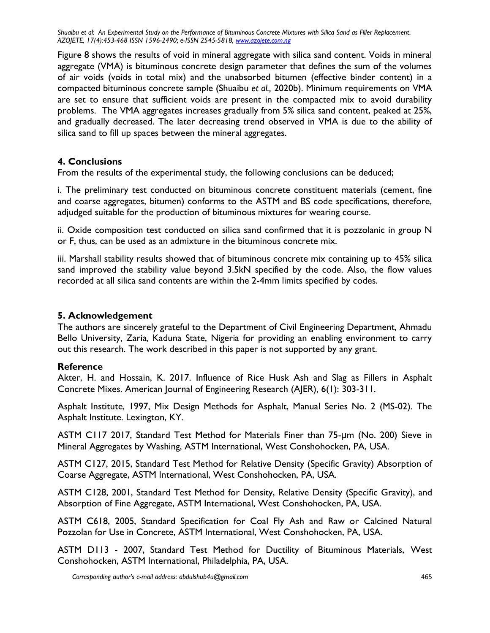Figure 8 shows the results of void in mineral aggregate with silica sand content. Voids in mineral aggregate (VMA) is bituminous concrete design parameter that defines the sum of the volumes of air voids (voids in total mix) and the unabsorbed bitumen (effective binder content) in a compacted bituminous concrete sample (Shuaibu *et al.,* 2020b). Minimum requirements on VMA are set to ensure that sufficient voids are present in the compacted mix to avoid durability problems. The VMA aggregates increases gradually from 5% silica sand content, peaked at 25%, and gradually decreased. The later decreasing trend observed in VMA is due to the ability of silica sand to fill up spaces between the mineral aggregates.

#### **4. Conclusions**

From the results of the experimental study, the following conclusions can be deduced;

i. The preliminary test conducted on bituminous concrete constituent materials (cement, fine and coarse aggregates, bitumen) conforms to the ASTM and BS code specifications, therefore, adjudged suitable for the production of bituminous mixtures for wearing course.

ii. Oxide composition test conducted on silica sand confirmed that it is pozzolanic in group N or F, thus, can be used as an admixture in the bituminous concrete mix.

iii. Marshall stability results showed that of bituminous concrete mix containing up to 45% silica sand improved the stability value beyond 3.5kN specified by the code. Also, the flow values recorded at all silica sand contents are within the 2-4mm limits specified by codes.

#### **5. Acknowledgement**

The authors are sincerely grateful to the Department of Civil Engineering Department, Ahmadu Bello University, Zaria, Kaduna State, Nigeria for providing an enabling environment to carry out this research. The work described in this paper is not supported by any grant.

#### **Reference**

Akter, H. and Hossain, K. 2017. Influence of Rice Husk Ash and Slag as Fillers in Asphalt Concrete Mixes. American Journal of Engineering Research (AJER), 6(1): 303-311.

Asphalt Institute, 1997, Mix Design Methods for Asphalt, Manual Series No. 2 (MS-02). The Asphalt Institute. Lexington, KY.

ASTM C117 2017, Standard Test Method for Materials Finer than 75-μm (No. 200) Sieve in Mineral Aggregates by Washing, ASTM International, West Conshohocken, PA, USA.

ASTM C127, 2015, Standard Test Method for Relative Density (Specific Gravity) Absorption of Coarse Aggregate, ASTM International, West Conshohocken, PA, USA.

ASTM C128, 2001, Standard Test Method for Density, Relative Density (Specific Gravity), and Absorption of Fine Aggregate, ASTM International, West Conshohocken, PA, USA.

ASTM C618, 2005, Standard Specification for Coal Fly Ash and Raw or Calcined Natural Pozzolan for Use in Concrete, ASTM International, West Conshohocken, PA, USA.

ASTM D113 - 2007, Standard Test Method for Ductility of Bituminous Materials, West Conshohocken, ASTM International, Philadelphia, PA, USA.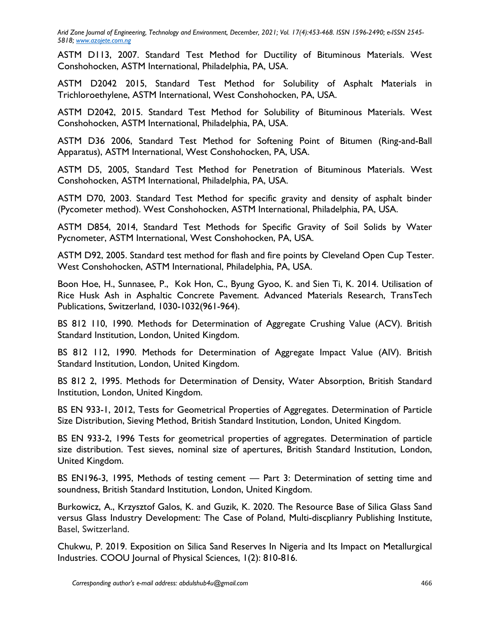ASTM D113, 2007. Standard Test Method for Ductility of Bituminous Materials. West Conshohocken, ASTM International, Philadelphia, PA, USA.

ASTM D2042 2015, Standard Test Method for Solubility of Asphalt Materials in Trichloroethylene, ASTM International, West Conshohocken, PA, USA.

ASTM D2042, 2015. Standard Test Method for Solubility of Bituminous Materials. West Conshohocken, ASTM International, Philadelphia, PA, USA.

ASTM D36 2006, Standard Test Method for Softening Point of Bitumen (Ring-and-Ball Apparatus), ASTM International, West Conshohocken, PA, USA.

ASTM D5, 2005, Standard Test Method for Penetration of Bituminous Materials. West Conshohocken, ASTM International, Philadelphia, PA, USA.

ASTM D70, 2003. Standard Test Method for specific gravity and density of asphalt binder (Pycometer method). West Conshohocken, ASTM International, Philadelphia, PA, USA.

ASTM D854, 2014, Standard Test Methods for Specific Gravity of Soil Solids by Water Pycnometer, ASTM International, West Conshohocken, PA, USA.

ASTM D92, 2005. Standard test method for flash and fire points by Cleveland Open Cup Tester. West Conshohocken, ASTM International, Philadelphia, PA, USA.

Boon Hoe, H., Sunnasee, P., Kok Hon, C., Byung Gyoo, K. and Sien Ti, K. 2014. Utilisation of Rice Husk Ash in Asphaltic Concrete Pavement. Advanced Materials Research, TransTech Publications, Switzerland, 1030-1032(961-964).

BS 812 110, 1990. Methods for Determination of Aggregate Crushing Value (ACV). British Standard Institution, London, United Kingdom.

BS 812 112, 1990. Methods for Determination of Aggregate Impact Value (AIV). British Standard Institution, London, United Kingdom.

BS 812 2, 1995. Methods for Determination of Density, Water Absorption, British Standard Institution, London, United Kingdom.

BS EN 933-1, 2012, Tests for Geometrical Properties of Aggregates. Determination of Particle Size Distribution, Sieving Method, British Standard Institution, London, United Kingdom.

BS EN 933-2, 1996 Tests for geometrical properties of aggregates. Determination of particle size distribution. Test sieves, nominal size of apertures, British Standard Institution, London, United Kingdom.

BS EN196-3, 1995, Methods of testing cement — Part 3: Determination of setting time and soundness, British Standard Institution, London, United Kingdom.

Burkowicz, A., Krzysztof Galos, K. and Guzik, K. 2020. The Resource Base of Silica Glass Sand versus Glass Industry Development: The Case of Poland, Multi-discplianry Publishing Institute, Basel, Switzerland.

Chukwu, P. 2019. Exposition on Silica Sand Reserves In Nigeria and Its Impact on Metallurgical Industries. COOU Journal of Physical Sciences, 1(2): 810-816.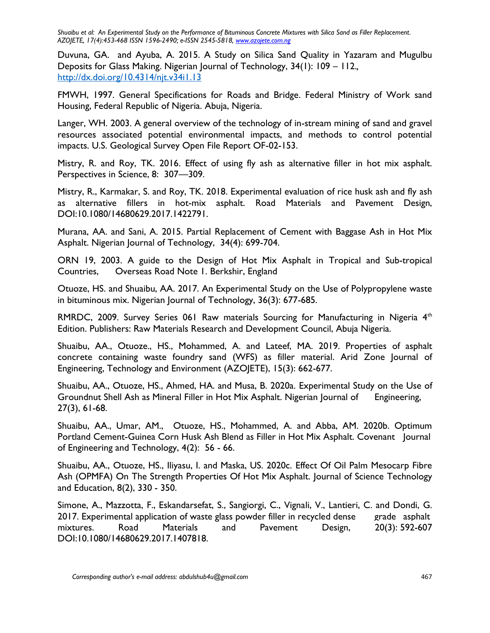Duvuna, GA. and Ayuba, A. 2015. A Study on Silica Sand Quality in Yazaram and Mugulbu Deposits for Glass Making. Nigerian Journal of Technology, 34(1): 109 – 112.*,* <http://dx.doi.org/10.4314/njt.v34i1.13>

FMWH, 1997. General Specifications for Roads and Bridge. Federal Ministry of Work sand Housing, Federal Republic of Nigeria. Abuja, Nigeria.

Langer, WH. 2003. A general overview of the technology of in-stream mining of sand and gravel resources associated potential environmental impacts, and methods to control potential impacts. U.S. Geological Survey Open File Report OF-02-153.

Mistry, R. and Roy, TK. 2016. Effect of using fly ash as alternative filler in hot mix asphalt. Perspectives in Science, 8: 307—309.

Mistry, R., Karmakar, S. and Roy, TK. 2018. Experimental evaluation of rice husk ash and fly ash as alternative fillers in hot-mix asphalt. Road Materials and Pavement Design, DOI:10.1080/14680629.2017.1422791.

Murana, AA. and Sani, A. 2015. Partial Replacement of Cement with Baggase Ash in Hot Mix Asphalt. Nigerian Journal of Technology, 34(4): 699-704.

ORN 19, 2003. A guide to the Design of Hot Mix Asphalt in Tropical and Sub-tropical Countries, Overseas Road Note 1. Berkshir, England

Otuoze, HS. and Shuaibu, AA. 2017. An Experimental Study on the Use of Polypropylene waste in bituminous mix. Nigerian Journal of Technology, 36(3): 677-685.

RMRDC, 2009. Survey Series 061 Raw materials Sourcing for Manufacturing in Nigeria  $4<sup>th</sup>$ Edition. Publishers: Raw Materials Research and Development Council, Abuja Nigeria.

Shuaibu, AA., Otuoze., HS., Mohammed, A. and Lateef, MA. 2019. Properties of asphalt concrete containing waste foundry sand (WFS) as filler material. Arid Zone Journal of Engineering, Technology and Environment (AZOJETE), 15(3): 662-677.

Shuaibu, AA., Otuoze, HS., Ahmed, HA. and Musa, B. 2020a. Experimental Study on the Use of Groundnut Shell Ash as Mineral Filler in Hot Mix Asphalt. Nigerian Journal of Engineering, 27(3), 61-68.

Shuaibu, AA., Umar, AM., Otuoze, HS., Mohammed, A. and Abba, AM. 2020b. Optimum Portland Cement-Guinea Corn Husk Ash Blend as Filler in Hot Mix Asphalt. Covenant Journal of Engineering and Technology, 4(2): 56 - 66.

Shuaibu, AA., Otuoze, HS., Iliyasu, I. and Maska, US. 2020c. Effect Of Oil Palm Mesocarp Fibre Ash (OPMFA) On The Strength Properties Of Hot Mix Asphalt. Journal of Science Technology and Education, 8(2), 330 - 350.

Simone, A., Mazzotta, F., Eskandarsefat, S., Sangiorgi, C., Vignali, V., Lantieri, C. and Dondi, G. 2017. Experimental application of waste glass powder filler in recycled dense grade asphalt mixtures. Road Materials and Pavement Design, 20(3): 592-607 DOI:10.1080/14680629.2017.1407818.